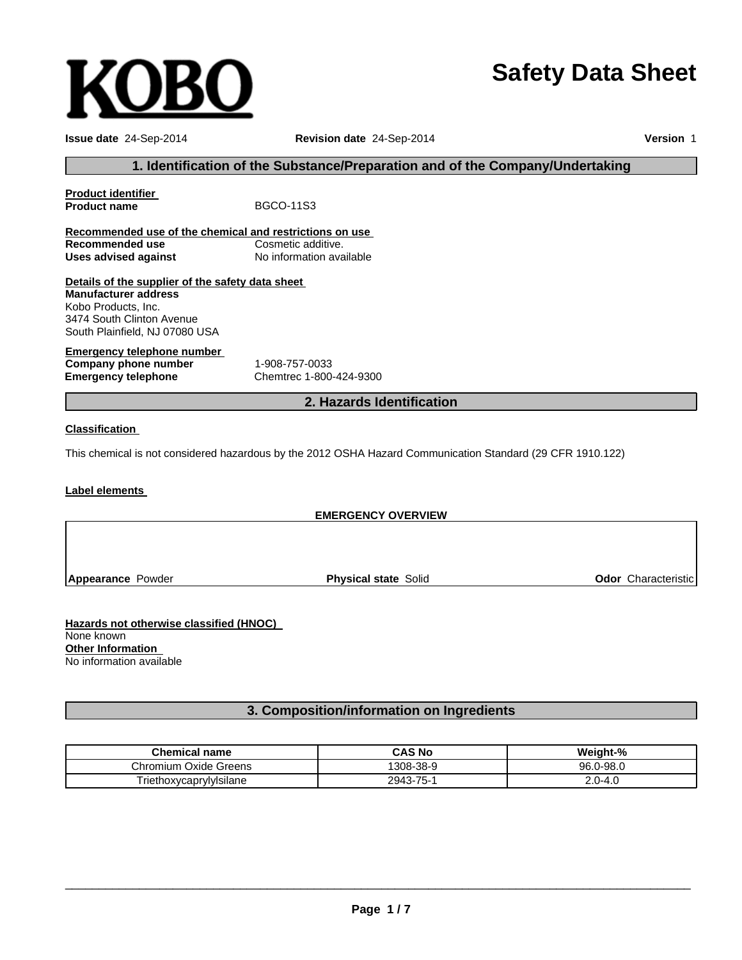# **Safety Data Sheet**

**OB** 

**Issue date** 24-Sep-2014 **Revision date** 24-Sep-2014 **Version** 1

#### **1. Identification of the Substance/Preparation and of the Company/Undertaking**

|                                                                                    | 2. Hazards Identification |  |
|------------------------------------------------------------------------------------|---------------------------|--|
| <b>Emergency telephone</b>                                                         | Chemtrec 1-800-424-9300   |  |
| Emergency telephone number<br>Company phone number                                 | 1-908-757-0033            |  |
| Kobo Products. Inc.<br>3474 South Clinton Avenue<br>South Plainfield, NJ 07080 USA |                           |  |
| Details of the supplier of the safety data sheet<br><b>Manufacturer address</b>    |                           |  |
| Uses advised against                                                               | No information available  |  |
| Recommended use of the chemical and restrictions on use<br>Recommended use         | Cosmetic additive.        |  |
| <b>Product identifier</b><br><b>Product name</b>                                   | <b>BGCO-11S3</b>          |  |
|                                                                                    |                           |  |

0

#### **Classification**

This chemical is not considered hazardous by the 2012 OSHA Hazard Communication Standard (29 CFR 1910.122)

#### **Label elements**

| <b>EMERGENCY OVERVIEW</b> |                             |                            |
|---------------------------|-----------------------------|----------------------------|
|                           |                             |                            |
|                           |                             |                            |
| Appearance Powder         | <b>Physical state Solid</b> | <b>Odor</b> Characteristic |

**Hazards not otherwise classified (HNOC)** None known **Other Information** No information available

### **3. Composition/information on Ingredients**

| <b>Chemical name</b>       | <b>CAS No</b> | Weight-%                |
|----------------------------|---------------|-------------------------|
| Chromium<br>. Oxide Greens | 308-38-9      | 96.0-98.0               |
| TriethoxycaprylyIsilane    | 2943-75-1     | ח ר<br>_.∪-4 $^{\circ}$ |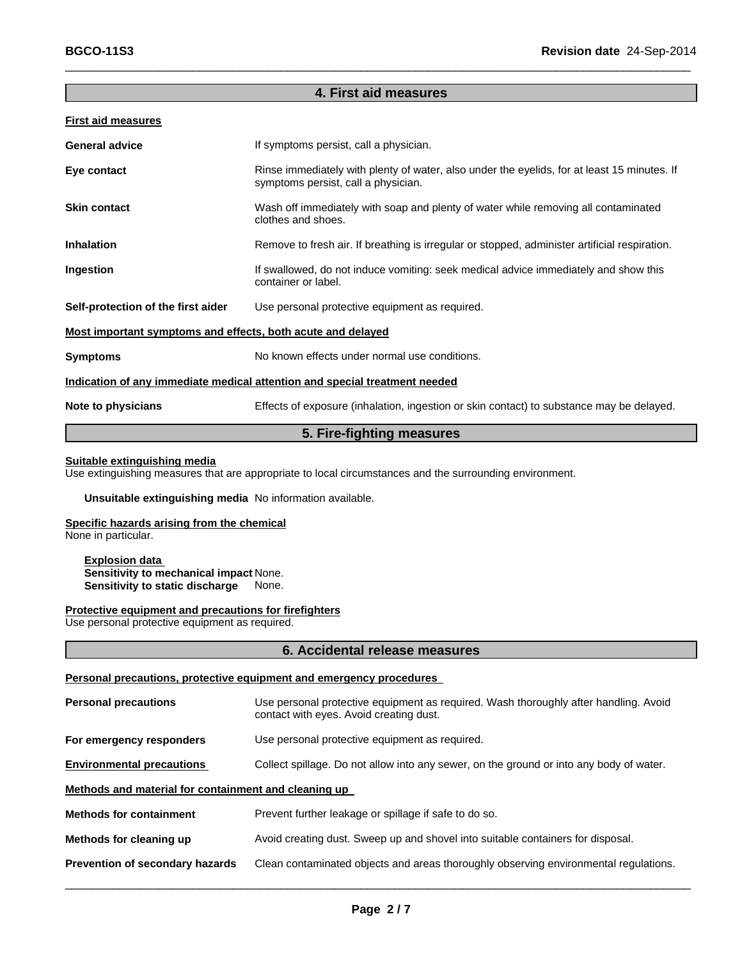### **4. First aid measures**

 $\_$  , and the set of the set of the set of the set of the set of the set of the set of the set of the set of the set of the set of the set of the set of the set of the set of the set of the set of the set of the set of th

#### **First aid measures**

| <b>General advice</b>                                                      | If symptoms persist, call a physician.                                                                                             |  |
|----------------------------------------------------------------------------|------------------------------------------------------------------------------------------------------------------------------------|--|
| Eye contact                                                                | Rinse immediately with plenty of water, also under the eyelids, for at least 15 minutes. If<br>symptoms persist, call a physician. |  |
| <b>Skin contact</b>                                                        | Wash off immediately with soap and plenty of water while removing all contaminated<br>clothes and shoes.                           |  |
| <b>Inhalation</b>                                                          | Remove to fresh air. If breathing is irregular or stopped, administer artificial respiration.                                      |  |
| Ingestion                                                                  | If swallowed, do not induce vomiting: seek medical advice immediately and show this<br>container or label.                         |  |
| Self-protection of the first aider                                         | Use personal protective equipment as required.                                                                                     |  |
| Most important symptoms and effects, both acute and delayed                |                                                                                                                                    |  |
| <b>Symptoms</b>                                                            | No known effects under normal use conditions.                                                                                      |  |
| Indication of any immediate medical attention and special treatment needed |                                                                                                                                    |  |
| Note to physicians                                                         | Effects of exposure (inhalation, ingestion or skin contact) to substance may be delayed.                                           |  |

#### **5. Fire-fighting measures**

#### **Suitable extinguishing media**

Use extinguishing measures that are appropriate to local circumstances and the surrounding environment.

#### **Unsuitable extinguishing media** No information available.

#### **Specific hazards arising from the chemical**

None in particular.

**Explosion data Sensitivity to mechanical impact** None. **Sensitivity to static discharge** None.

#### **Protective equipment and precautions for firefighters**

Use personal protective equipment as required.

#### **6. Accidental release measures**

#### **Personal precautions, protective equipment and emergency procedures**

| <b>Personal precautions</b>                          | Use personal protective equipment as required. Wash thoroughly after handling. Avoid<br>contact with eyes. Avoid creating dust. |
|------------------------------------------------------|---------------------------------------------------------------------------------------------------------------------------------|
| For emergency responders                             | Use personal protective equipment as required.                                                                                  |
| <b>Environmental precautions</b>                     | Collect spillage. Do not allow into any sewer, on the ground or into any body of water.                                         |
| Methods and material for containment and cleaning up |                                                                                                                                 |
| <b>Methods for containment</b>                       | Prevent further leakage or spillage if safe to do so.                                                                           |
| Methods for cleaning up                              | Avoid creating dust. Sweep up and shovel into suitable containers for disposal.                                                 |
| Prevention of secondary hazards                      | Clean contaminated objects and areas thoroughly observing environmental regulations.                                            |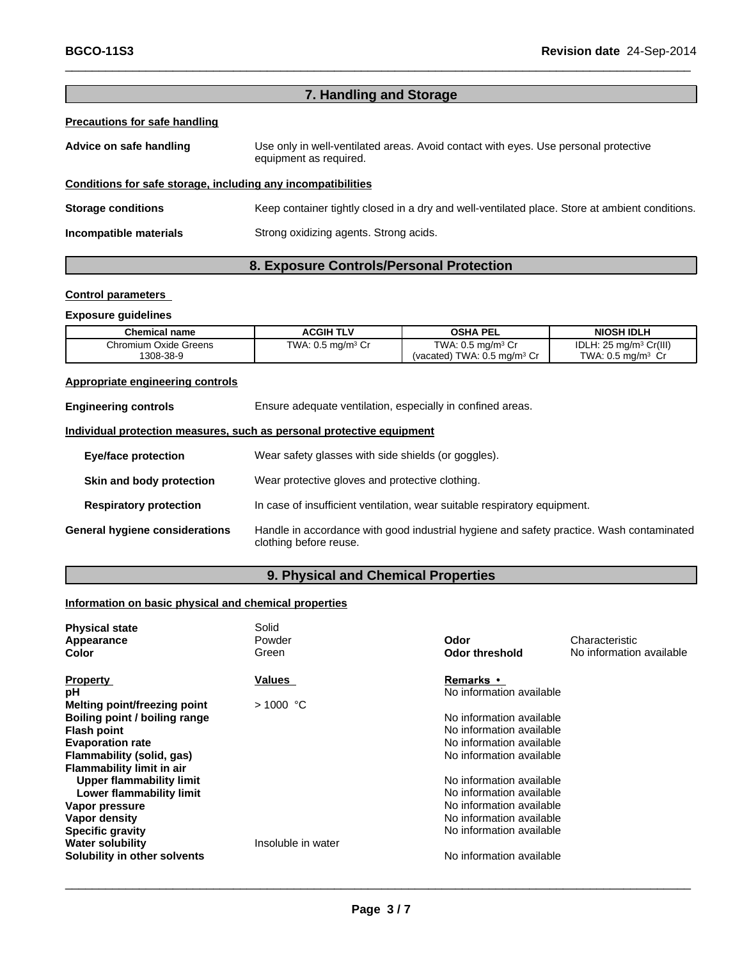### **7. Handling and Storage**

 $\_$  , and the set of the set of the set of the set of the set of the set of the set of the set of the set of the set of the set of the set of the set of the set of the set of the set of the set of the set of the set of th

#### **Precautions for safe handling**

| Advice on safe handling | Use only in well-ventilated areas. Avoid contact with eyes. Use personal protective<br>equipment as required. |
|-------------------------|---------------------------------------------------------------------------------------------------------------|
|                         |                                                                                                               |

#### **Conditions for safe storage, including any incompatibilities**

**Storage conditions** Keep container tightly closed in a dry and well-ventilated place. Store at ambient conditions. **Incompatible materials** Strong oxidizing agents. Strong acids.

### **8. Exposure Controls/Personal Protection**

#### **Control parameters**

#### **Exposure guidelines**

| <b>Chemical name</b>  | <b>ACGIH TLV</b>                     | <b>OSHA PEL</b>                           | <b>NIOSH IDLH</b>                         |
|-----------------------|--------------------------------------|-------------------------------------------|-------------------------------------------|
| Chromium Oxide Greens | TWA: $0.5 \text{ mg/m}^3 \text{ Cr}$ | TWA: $0.5 \text{ mg/m}^3 \text{ Cr}$      | IDLH: $25 \text{ mg/m}^3 \text{ Cr(III)}$ |
| 1308-38-9             |                                      | (vacated) TWA: $0.5$ mg/m <sup>3</sup> Cr | TWA: $0.5$ ma/m <sup>3</sup> Cr           |

#### **Appropriate engineering controls**

| <b>Engineering controls</b>    | Ensure adequate ventilation, especially in confined areas.                                                         |  |
|--------------------------------|--------------------------------------------------------------------------------------------------------------------|--|
|                                | Individual protection measures, such as personal protective equipment                                              |  |
| <b>Eye/face protection</b>     | Wear safety glasses with side shields (or goggles).                                                                |  |
| Skin and body protection       | Wear protective gloves and protective clothing.                                                                    |  |
| <b>Respiratory protection</b>  | In case of insufficient ventilation, wear suitable respiratory equipment.                                          |  |
| General hygiene considerations | Handle in accordance with good industrial hygiene and safety practice. Wash contaminated<br>clothing before reuse. |  |

### **9. Physical and Chemical Properties**

### **Information on basic physical and chemical properties**

| <b>Physical state</b><br>Appearance<br>Color | Solid<br>Powder<br>Green | Odor<br>Odor threshold   | Characteristic<br>No information available |
|----------------------------------------------|--------------------------|--------------------------|--------------------------------------------|
| <b>Property</b>                              | <b>Values</b>            | <b>Remarks</b> •         |                                            |
| рH                                           |                          | No information available |                                            |
| Melting point/freezing point                 | $>1000$ °C               |                          |                                            |
| Boiling point / boiling range                |                          | No information available |                                            |
| <b>Flash point</b>                           |                          | No information available |                                            |
| <b>Evaporation rate</b>                      |                          | No information available |                                            |
| Flammability (solid, gas)                    |                          | No information available |                                            |
| <b>Flammability limit in air</b>             |                          |                          |                                            |
| Upper flammability limit                     |                          | No information available |                                            |
| Lower flammability limit                     |                          | No information available |                                            |
| Vapor pressure                               |                          | No information available |                                            |
| <b>Vapor density</b>                         |                          | No information available |                                            |
| <b>Specific gravity</b>                      |                          | No information available |                                            |
| <b>Water solubility</b>                      | Insoluble in water       |                          |                                            |
| Solubility in other solvents                 |                          | No information available |                                            |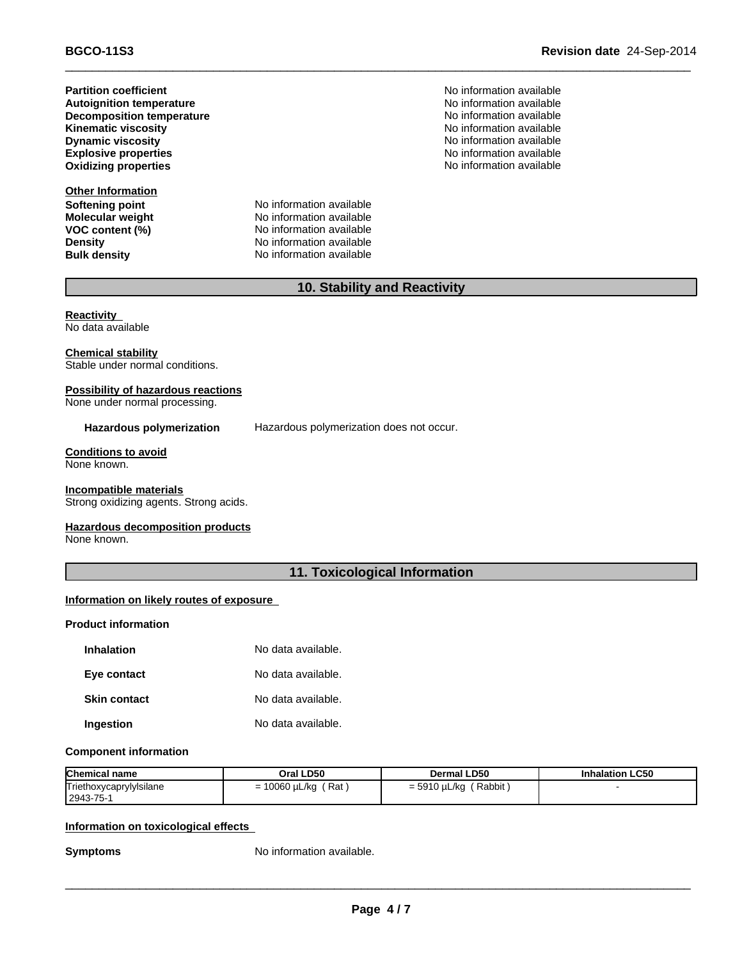**Partition coefficient**<br> **Autoignition temperature**<br> **Autoignition temperature**<br> **Autoignition available Autoignition temperature**<br> **Decomposition temperature No information available**<br>
No information available **Decomposition temperature Kinematic viscosity**<br> **Community** Dynamic viscosity<br> **Community** Dynamic viscosity **Explosive properties**

**Other Information Softening point** No information available

**Molecular weight** No information available **VOC** content (%) No information available **Density No** information available **Bulk density** No information available

**No information available** No information available **Oxidizing properties** No information available

### **10. Stability and Reactivity**

 $\_$  , and the set of the set of the set of the set of the set of the set of the set of the set of the set of the set of the set of the set of the set of the set of the set of the set of the set of the set of the set of th

**Reactivity** No data available

**Chemical stability** Stable under normal conditions.

#### **Possibility of hazardous reactions**

None under normal processing.

**Hazardous polymerization** Hazardous polymerization does not occur.

**Conditions to avoid** None known.

### **Incompatible materials**

Strong oxidizing agents. Strong acids.

#### **Hazardous decomposition products**

None known.

### **11. Toxicological Information**

#### **Information on likely routes of exposure**

#### **Product information**

| <b>Inhalation</b>   | No data available. |
|---------------------|--------------------|
| Eye contact         | No data available. |
| <b>Skin contact</b> | No data available. |
| Ingestion           | No data available. |

#### **Component information**

| <b>Chemical name</b>    | Oral LD50   | <b>Dermal LD50</b> | <b>Inhalation LC50</b> |
|-------------------------|-------------|--------------------|------------------------|
| Triethoxycaprylylsilane | ∵Rat ,      | Rabbit             |                        |
| 2943-75-1               | 10060 µL/kg | = 5910 µL/kg       |                        |

#### **Information on toxicological effects**

**Symptoms** No information available.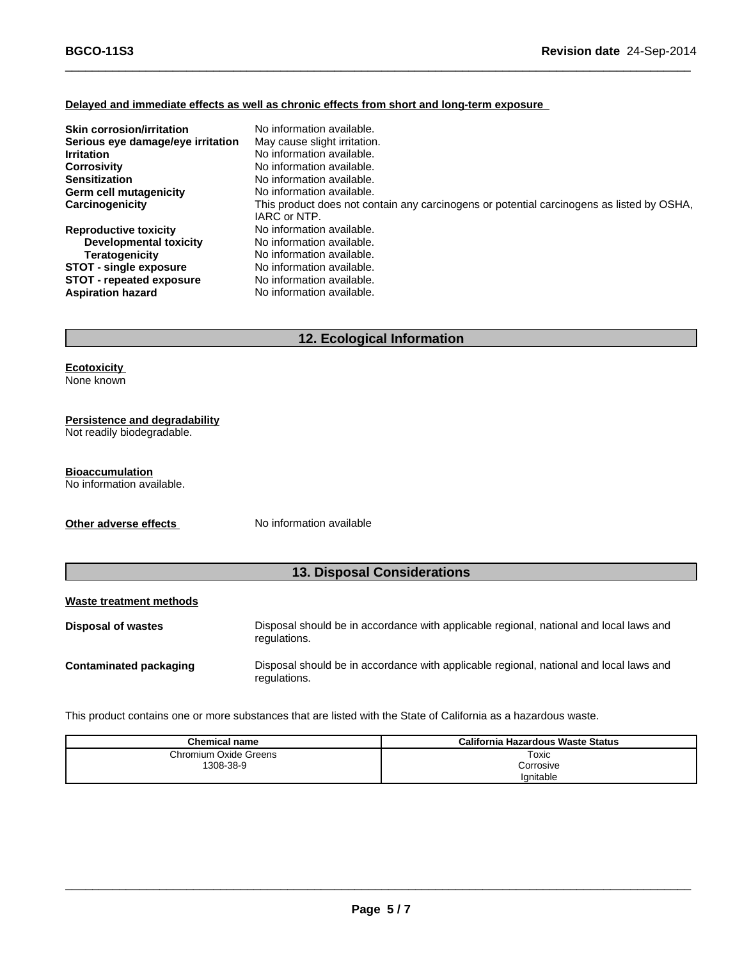#### **Delayed and immediate effects as well as chronic effects from short and long-term exposure**

| <b>Skin corrosion/irritation</b>  | No information available.                                                                 |
|-----------------------------------|-------------------------------------------------------------------------------------------|
| Serious eye damage/eye irritation | May cause slight irritation.                                                              |
| <b>Irritation</b>                 | No information available.                                                                 |
| <b>Corrosivity</b>                | No information available.                                                                 |
| <b>Sensitization</b>              | No information available.                                                                 |
| Germ cell mutagenicity            | No information available.                                                                 |
| Carcinogenicity                   | This product does not contain any carcinogens or potential carcinogens as listed by OSHA, |
|                                   | IARC or NTP.                                                                              |
| <b>Reproductive toxicity</b>      | No information available.                                                                 |
| Developmental toxicity            | No information available.                                                                 |
| <b>Teratogenicity</b>             | No information available.                                                                 |
| <b>STOT - single exposure</b>     | No information available.                                                                 |
| <b>STOT - repeated exposure</b>   | No information available.                                                                 |
| <b>Aspiration hazard</b>          | No information available.                                                                 |

 $\_$  , and the set of the set of the set of the set of the set of the set of the set of the set of the set of the set of the set of the set of the set of the set of the set of the set of the set of the set of the set of th

### **12. Ecological Information**

## **Ecotoxicity**

None known

### **Persistence and degradability**

Not readily biodegradable.

#### **Bioaccumulation**

No information available.

**Other adverse effects** No information available

### **13. Disposal Considerations**

#### **Waste treatment methods**

| Disposal of wastes     | Disposal should be in accordance with applicable regional, national and local laws and<br>regulations. |
|------------------------|--------------------------------------------------------------------------------------------------------|
| Contaminated packaging | Disposal should be in accordance with applicable regional, national and local laws and<br>regulations. |

This product contains one or more substances that are listed with the State of California as a hazardous waste.

| Chemical name         | California Hazardous Waste Status |
|-----------------------|-----------------------------------|
| Chromium Oxide Greens | Toxic                             |
| 1308-38-9             | Corrosive                         |
|                       | Ignitable                         |

\_\_\_\_\_\_\_\_\_\_\_\_\_\_\_\_\_\_\_\_\_\_\_\_\_\_\_\_\_\_\_\_\_\_\_\_\_\_\_\_\_\_\_\_\_\_\_\_\_\_\_\_\_\_\_\_\_\_\_\_\_\_\_\_\_\_\_\_\_\_\_\_\_\_\_\_\_\_\_\_\_\_\_\_\_\_\_\_\_\_\_\_\_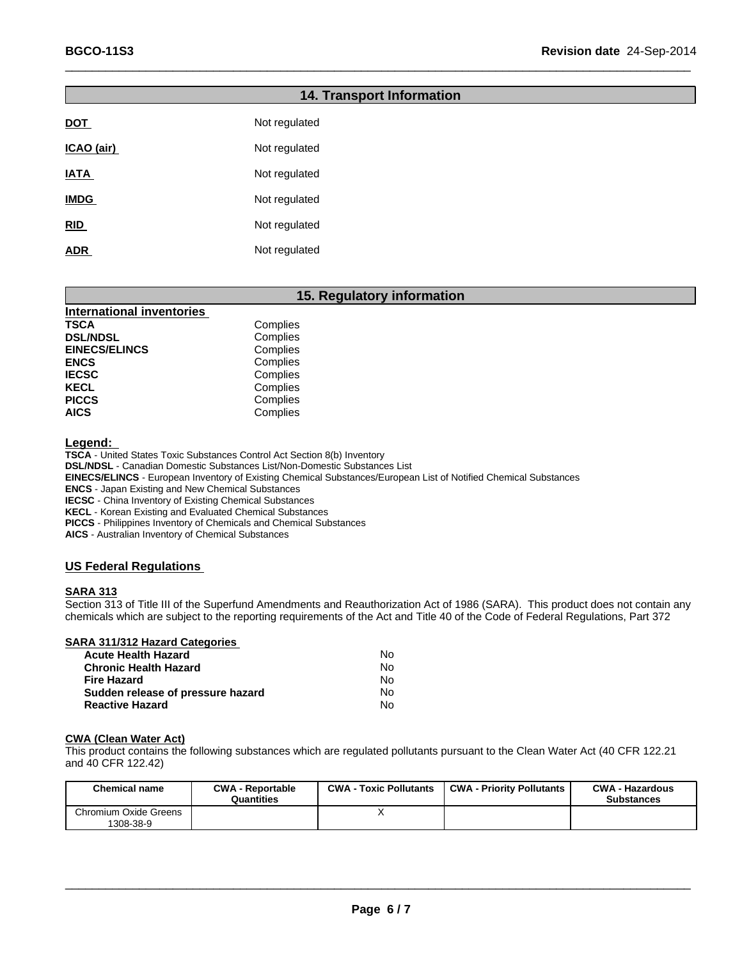# **RID** Not regulated **ADR** Not regulated **14. Transport Information DOT** Not regulated **ICAO** (air) Not regulated **IATA** Not regulated **IMDG** Not regulated

 $\_$  , and the set of the set of the set of the set of the set of the set of the set of the set of the set of the set of the set of the set of the set of the set of the set of the set of the set of the set of the set of th

### **15. Regulatory information**

| <b>International inventories</b> |          |
|----------------------------------|----------|
| <b>TSCA</b>                      | Complies |
| <b>DSL/NDSL</b>                  | Complies |
| <b>EINECS/ELINCS</b>             | Complies |
| <b>ENCS</b>                      | Complies |
| <b>IECSC</b>                     | Complies |
| <b>KECL</b>                      | Complies |
| <b>PICCS</b>                     | Complies |
| <b>AICS</b>                      | Complies |

**Legend:**

**TSCA** - United States Toxic Substances Control Act Section 8(b) Inventory

**DSL/NDSL** - Canadian Domestic Substances List/Non-Domestic Substances List

**EINECS/ELINCS** - European Inventory of Existing Chemical Substances/European List of Notified Chemical Substances

**ENCS** - Japan Existing and New Chemical Substances

**IECSC** - China Inventory of Existing Chemical Substances

**KECL** - Korean Existing and Evaluated Chemical Substances

**PICCS** - Philippines Inventory of Chemicals and Chemical Substances

**AICS** - Australian Inventory of Chemical Substances

#### **US Federal Regulations**

#### **SARA 313**

Section 313 of Title III of the Superfund Amendments and Reauthorization Act of 1986 (SARA). This product does not contain any chemicals which are subject to the reporting requirements of the Act and Title 40 of the Code of Federal Regulations, Part 372

**SARA 311/312 Hazard Categories**

| Acute Health Hazard               | N٥ |
|-----------------------------------|----|
| Chronic Health Hazard             | N٥ |
| Fire Hazard                       | Nο |
| Sudden release of pressure hazard | N٥ |
| <b>Reactive Hazard</b>            | N٥ |

#### **CWA (Clean Water Act)**

This product contains the following substances which are regulated pollutants pursuant to the Clean Water Act (40 CFR 122.21 and 40 CFR 122.42)

| Chemical name                      | <b>CWA - Reportable</b><br>Quantities | <b>CWA - Toxic Pollutants</b> | <b>CWA - Priority Pollutants</b> | <b>CWA - Hazardous</b><br><b>Substances</b> |
|------------------------------------|---------------------------------------|-------------------------------|----------------------------------|---------------------------------------------|
| Chromium Oxide Greens<br>1308-38-9 |                                       |                               |                                  |                                             |